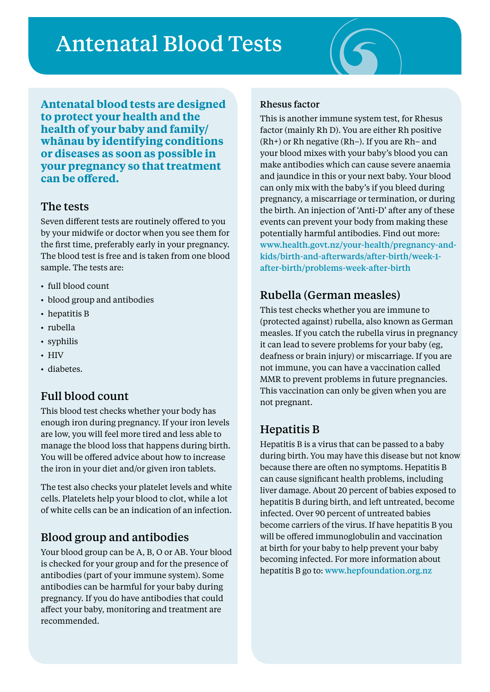# Antenatal Blood Tests



**Antenatal blood tests are designed to protect your health and the health of your baby and family/ whānau by identifying conditions or diseases as soon as possible in your pregnancy so that treatment can be offered.** 

#### The tests

Seven different tests are routinely offered to you by your midwife or doctor when you see them for the first time, preferably early in your pregnancy. The blood test is free and is taken from one blood sample. The tests are:

- full blood count
- blood group and antibodies
- hepatitis B
- • rubella
- syphilis
- HIV
- diabetes.

#### Full blood count

This blood test checks whether your body has enough iron during pregnancy. If your iron levels are low, you will feel more tired and less able to manage the blood loss that happens during birth. You will be offered advice about how to increase the iron in your diet and/or given iron tablets.

The test also checks your platelet levels and white cells. Platelets help your blood to clot, while a lot of white cells can be an indication of an infection.

#### Blood group and antibodies

Your blood group can be A, B, O or AB. Your blood is checked for your group and for the presence of antibodies (part of your immune system). Some antibodies can be harmful for your baby during pregnancy. If you do have antibodies that could affect your baby, monitoring and treatment are recommended.

#### Rhesus factor

This is another immune system test, for Rhesus factor (mainly Rh D). You are either Rh positive (Rh+) or Rh negative (Rh–). If you are Rh– and your blood mixes with your baby's blood you can make antibodies which can cause severe anaemia and jaundice in this or your next baby. Your blood can only mix with the baby's if you bleed during pregnancy, a miscarriage or termination, or during the birth. An injection of 'Anti-D' after any of these events can prevent your body from making these potentially harmful antibodies. Find out more: www.health.govt.nz/your-health/pregnancy-andkids/birth-and-afterwards/after-birth/week-1 after-birth/problems-week-after-birth

#### Rubella (German measles)

This test checks whether you are immune to (protected against) rubella, also known as German measles. If you catch the rubella virus in pregnancy it can lead to severe problems for your baby (eg, deafness or brain injury) or miscarriage. If you are not immune, you can have a vaccination called MMR to prevent problems in future pregnancies. This vaccination can only be given when you are not pregnant.

#### Hepatitis B

Hepatitis B is a virus that can be passed to a baby during birth. You may have this disease but not know because there are often no symptoms. Hepatitis B can cause significant health problems, including liver damage. About 20 percent of babies exposed to hepatitis B during birth, and left untreated, become infected. Over 90 percent of untreated babies become carriers of the virus. If have hepatitis B you will be offered immunoglobulin and vaccination at birth for your baby to help prevent your baby becoming infected. For more information about hepatitis B go to: www.hepfoundation.org.nz